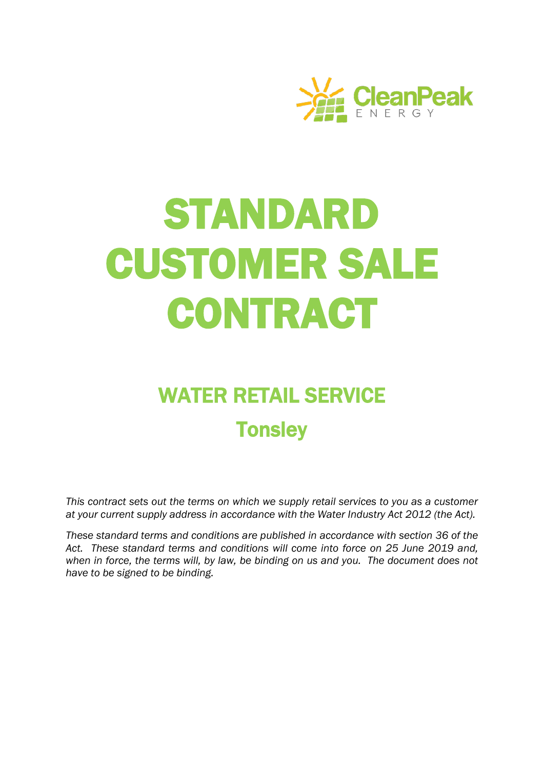

# STANDARD CUSTOMER SALE **CONTRACT**

# WATER RETAIL SERVICE **Tonsley**

*This contract sets out the terms on which we supply retail services to you as a customer at your current supply address in accordance with the Water Industry Act 2012 (the Act).* 

*These standard terms and conditions are published in accordance with section 36 of the Act. These standard terms and conditions will come into force on 25 June 2019 and, when in force, the terms will, by law, be binding on us and you. The document does not have to be signed to be binding.*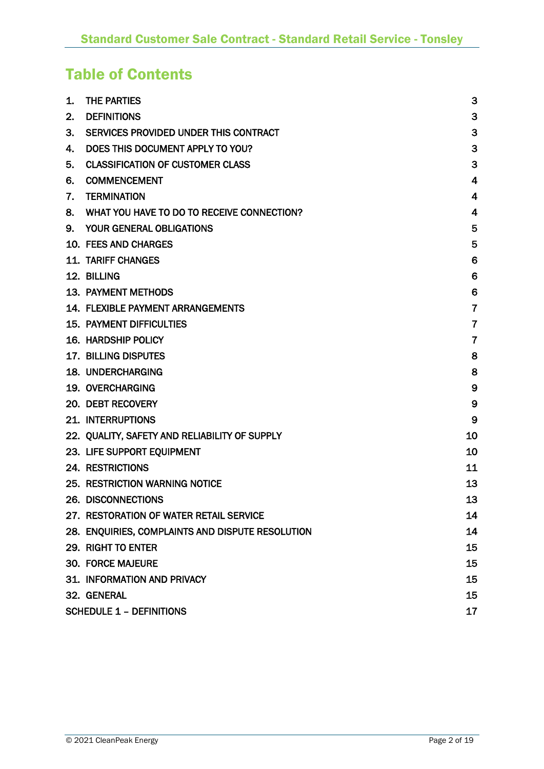# Table of Contents

| 1. | <b>THE PARTIES</b>                               | 3              |
|----|--------------------------------------------------|----------------|
| 2. | <b>DEFINITIONS</b>                               | 3              |
| 3. | SERVICES PROVIDED UNDER THIS CONTRACT            | 3              |
| 4. | DOES THIS DOCUMENT APPLY TO YOU?                 | 3              |
| 5. | <b>CLASSIFICATION OF CUSTOMER CLASS</b>          | 3              |
| 6. | <b>COMMENCEMENT</b>                              | $\overline{4}$ |
| 7. | <b>TERMINATION</b>                               | $\overline{4}$ |
| 8. | WHAT YOU HAVE TO DO TO RECEIVE CONNECTION?       | $\overline{4}$ |
| 9. | <b>YOUR GENERAL OBLIGATIONS</b>                  | 5              |
|    | 10. FEES AND CHARGES                             | 5              |
|    | <b>11. TARIFF CHANGES</b>                        | 6              |
|    | 12. BILLING                                      | 6              |
|    | 13. PAYMENT METHODS                              | 6              |
|    | <b>14. FLEXIBLE PAYMENT ARRANGEMENTS</b>         | $\overline{7}$ |
|    | <b>15. PAYMENT DIFFICULTIES</b>                  | $\overline{7}$ |
|    | <b>16. HARDSHIP POLICY</b>                       | $\overline{7}$ |
|    | <b>17. BILLING DISPUTES</b>                      | 8              |
|    | <b>18. UNDERCHARGING</b>                         | 8              |
|    | 19. OVERCHARGING                                 | 9              |
|    | 20. DEBT RECOVERY                                | 9              |
|    | <b>21. INTERRUPTIONS</b>                         | 9              |
|    | 22. QUALITY, SAFETY AND RELIABILITY OF SUPPLY    | 10             |
|    | 23. LIFE SUPPORT EQUIPMENT                       | 10             |
|    | <b>24. RESTRICTIONS</b>                          | 11             |
|    | 25. RESTRICTION WARNING NOTICE                   | 13             |
|    | 26. DISCONNECTIONS                               | 13             |
|    | 27. RESTORATION OF WATER RETAIL SERVICE          | 14             |
|    | 28. ENQUIRIES, COMPLAINTS AND DISPUTE RESOLUTION | 14             |
|    | 29. RIGHT TO ENTER                               | 15             |
|    | <b>30. FORCE MAJEURE</b>                         | 15             |
|    | 31. INFORMATION AND PRIVACY                      | 15             |
|    | 32. GENERAL                                      | 15             |
|    | <b>SCHEDULE 1 - DEFINITIONS</b>                  | 17             |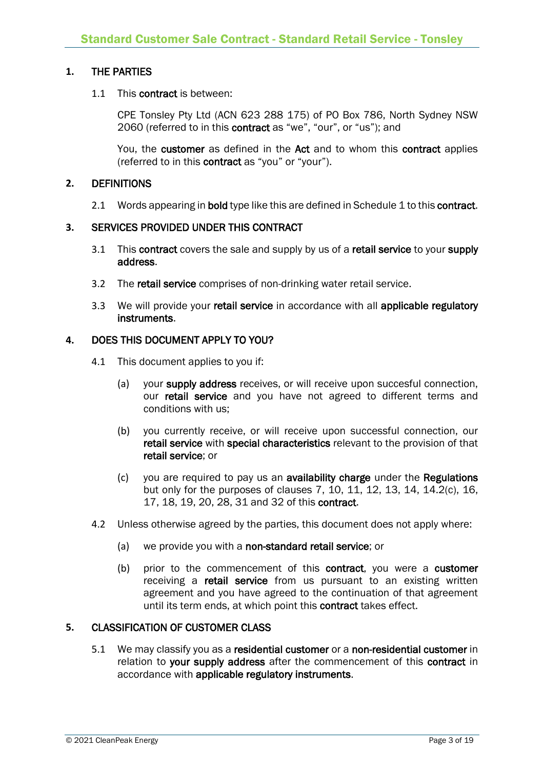#### **1.** THE PARTIES

#### 1.1 This contract is between:

CPE Tonsley Pty Ltd (ACN 623 288 175) of PO Box 786, North Sydney NSW 2060 (referred to in this contract as "we", "our", or "us"); and

You, the customer as defined in the Act and to whom this contract applies (referred to in this contract as "you" or "your").

#### **2.** DEFINITIONS

2.1 Words appearing in bold type like this are defined in Schedule 1 to this contract.

#### **3.** SERVICES PROVIDED UNDER THIS CONTRACT

- 3.1 This contract covers the sale and supply by us of a retail service to your supply address.
- 3.2 The retail service comprises of non-drinking water retail service.
- 3.3 We will provide your retail service in accordance with all applicable regulatory instruments.

#### **4.** DOES THIS DOCUMENT APPLY TO YOU?

- 4.1 This document applies to you if:
	- (a) your supply address receives, or will receive upon succesful connection, our retail service and you have not agreed to different terms and conditions with us;
	- (b) you currently receive, or will receive upon successful connection, our retail service with special characteristics relevant to the provision of that retail service; or
	- (c) you are required to pay us an availability charge under the Regulations but only for the purposes of clauses 7, 10, 11, 12, 13, 14, 14.2(c), 16, 17, 18, 19, 20, 28, 31 and 32 of this contract.
- 4.2 Unless otherwise agreed by the parties, this document does not apply where:
	- (a) we provide you with a non-standard retail service; or
	- (b) prior to the commencement of this contract, you were a customer receiving a retail service from us pursuant to an existing written agreement and you have agreed to the continuation of that agreement until its term ends, at which point this contract takes effect.

#### **5.** CLASSIFICATION OF CUSTOMER CLASS

5.1 We may classify you as a residential customer or a non-residential customer in relation to your supply address after the commencement of this contract in accordance with applicable regulatory instruments.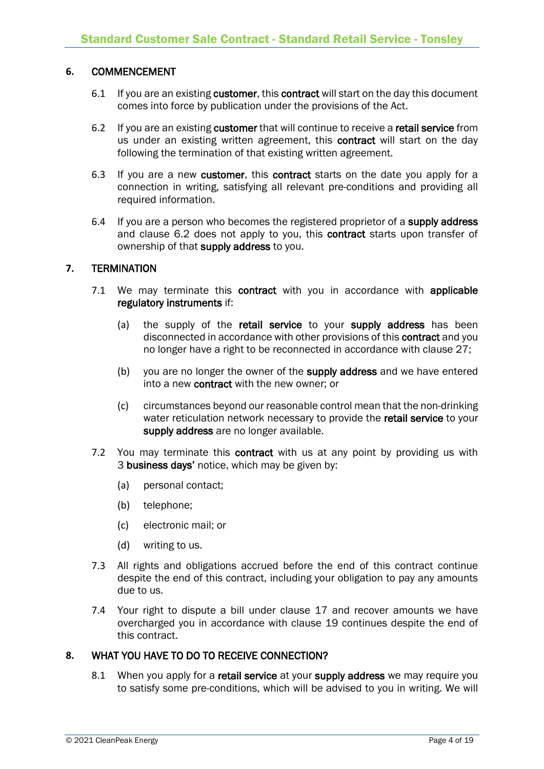#### **6.** COMMENCEMENT

- 6.1 If you are an existing customer, this contract will start on the day this document comes into force by publication under the provisions of the Act.
- 6.2 If you are an existing customer that will continue to receive a retail service from us under an existing written agreement, this contract will start on the day following the termination of that existing written agreement.
- 6.3 If you are a new customer, this contract starts on the date you apply for a connection in writing, satisfying all relevant pre-conditions and providing all required information.
- 6.4 If you are a person who becomes the registered proprietor of a supply address and clause 6.2 does not apply to you, this contract starts upon transfer of ownership of that supply address to you.

#### **7.** TERMINATION

- 7.1 We may terminate this contract with you in accordance with applicable regulatory instruments if:
	- (a) the supply of the retail service to your supply address has been disconnected in accordance with other provisions of this contract and you no longer have a right to be reconnected in accordance with clause 27;
	- (b) you are no longer the owner of the supply address and we have entered into a new contract with the new owner; or
	- (c) circumstances beyond our reasonable control mean that the non-drinking water reticulation network necessary to provide the retail service to your supply address are no longer available.
- 7.2 You may terminate this contract with us at any point by providing us with 3 business days' notice, which may be given by:
	- (a) personal contact;
	- (b) telephone;
	- (c) electronic mail; or
	- (d) writing to us.
- 7.3 All rights and obligations accrued before the end of this contract continue despite the end of this contract, including your obligation to pay any amounts due to us.
- 7.4 Your right to dispute a bill under clause 17 and recover amounts we have overcharged you in accordance with clause 19 continues despite the end of this contract.

#### **8.** WHAT YOU HAVE TO DO TO RECEIVE CONNECTION?

8.1 When you apply for a retail service at your supply address we may require you to satisfy some pre-conditions, which will be advised to you in writing. We will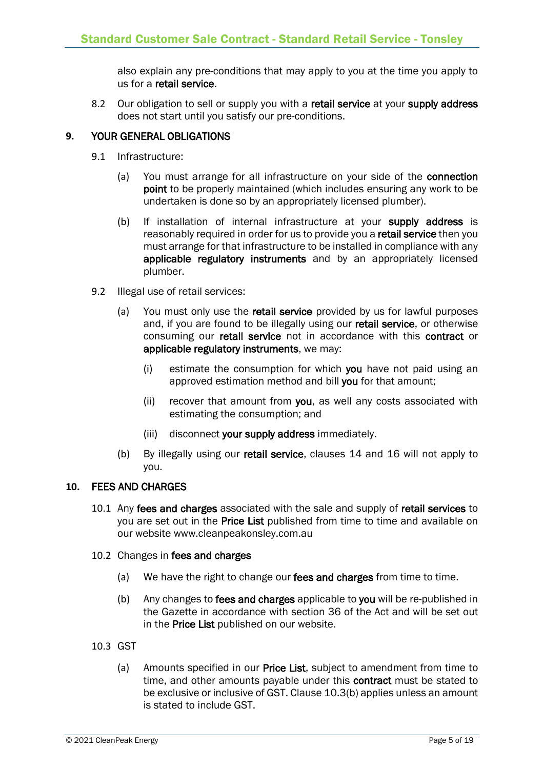also explain any pre-conditions that may apply to you at the time you apply to us for a retail service.

8.2 Our obligation to sell or supply you with a retail service at your supply address does not start until you satisfy our pre-conditions.

#### **9.** YOUR GENERAL OBLIGATIONS

- 9.1 Infrastructure:
	- (a) You must arrange for all infrastructure on your side of the connection point to be properly maintained (which includes ensuring any work to be undertaken is done so by an appropriately licensed plumber).
	- (b) If installation of internal infrastructure at your supply address is reasonably required in order for us to provide you a retail service then you must arrange for that infrastructure to be installed in compliance with any applicable regulatory instruments and by an appropriately licensed plumber.
- 9.2 Illegal use of retail services:
	- (a) You must only use the retail service provided by us for lawful purposes and, if you are found to be illegally using our retail service, or otherwise consuming our retail service not in accordance with this contract or applicable regulatory instruments, we may:
		- (i) estimate the consumption for which you have not paid using an approved estimation method and bill you for that amount;
		- (ii) recover that amount from you, as well any costs associated with estimating the consumption; and
		- (iii) disconnect your supply address immediately.
	- (b) By illegally using our retail service, clauses 14 and 16 will not apply to you.

#### **10.** FEES AND CHARGES

- 10.1 Any fees and charges associated with the sale and supply of retail services to you are set out in the Price List published from time to time and available on our website www.cleanpeakonsley.com.au
- 10.2 Changes in fees and charges
	- (a) We have the right to change our fees and charges from time to time.
	- (b) Any changes to fees and charges applicable to you will be re-published in the Gazette in accordance with section 36 of the Act and will be set out in the Price List published on our website.
- 10.3 GST
	- (a) Amounts specified in our **Price List**, subject to amendment from time to time, and other amounts payable under this contract must be stated to be exclusive or inclusive of GST. Clause 10.3(b) applies unless an amount is stated to include GST.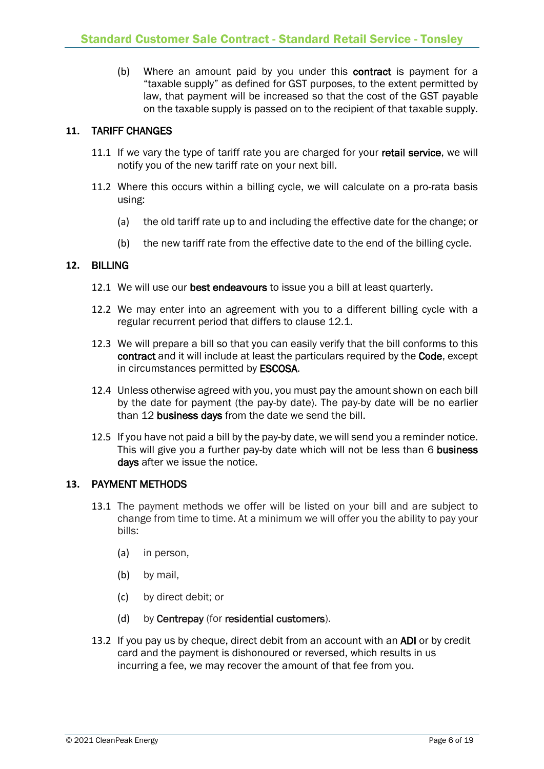(b) Where an amount paid by you under this contract is payment for a "taxable supply" as defined for GST purposes, to the extent permitted by law, that payment will be increased so that the cost of the GST payable on the taxable supply is passed on to the recipient of that taxable supply.

#### **11.** TARIFF CHANGES

- 11.1 If we vary the type of tariff rate you are charged for your retail service, we will notify you of the new tariff rate on your next bill.
- 11.2 Where this occurs within a billing cycle, we will calculate on a pro-rata basis using:
	- (a) the old tariff rate up to and including the effective date for the change; or
	- (b) the new tariff rate from the effective date to the end of the billing cycle.

#### **12.** BILLING

- 12.1 We will use our best endeavours to issue you a bill at least quarterly.
- 12.2 We may enter into an agreement with you to a different billing cycle with a regular recurrent period that differs to clause 12.1.
- 12.3 We will prepare a bill so that you can easily verify that the bill conforms to this contract and it will include at least the particulars required by the Code, except in circumstances permitted by ESCOSA.
- 12.4 Unless otherwise agreed with you, you must pay the amount shown on each bill by the date for payment (the pay-by date). The pay-by date will be no earlier than 12 business days from the date we send the bill.
- 12.5 If you have not paid a bill by the pay-by date, we will send you a reminder notice. This will give you a further pay-by date which will not be less than 6 business days after we issue the notice.

#### **13.** PAYMENT METHODS

- 13.1 The payment methods we offer will be listed on your bill and are subject to change from time to time. At a minimum we will offer you the ability to pay your bills:
	- (a) in person,
	- (b) by mail,
	- (c) by direct debit; or
	- (d) by Centrepay (for residential customers).
- 13.2 If you pay us by cheque, direct debit from an account with an ADI or by credit card and the payment is dishonoured or reversed, which results in us incurring a fee, we may recover the amount of that fee from you.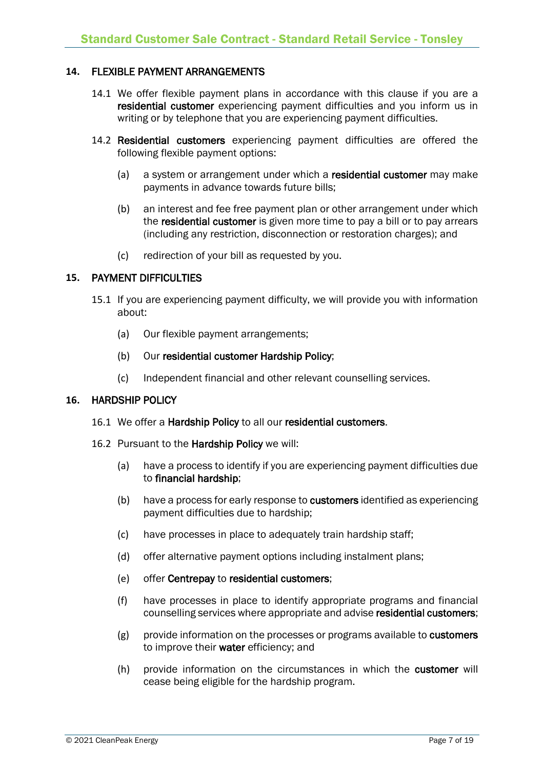#### **14.** FLEXIBLE PAYMENT ARRANGEMENTS

- 14.1 We offer flexible payment plans in accordance with this clause if you are a residential customer experiencing payment difficulties and you inform us in writing or by telephone that you are experiencing payment difficulties.
- 14.2 Residential customers experiencing payment difficulties are offered the following flexible payment options:
	- (a) a system or arrangement under which a residential customer may make payments in advance towards future bills;
	- (b) an interest and fee free payment plan or other arrangement under which the residential customer is given more time to pay a bill or to pay arrears (including any restriction, disconnection or restoration charges); and
	- (c) redirection of your bill as requested by you.

#### **15.** PAYMENT DIFFICULTIES

- 15.1 If you are experiencing payment difficulty, we will provide you with information about:
	- (a) Our flexible payment arrangements;
	- (b) Our residential customer Hardship Policy;
	- (c) Independent financial and other relevant counselling services.

#### **16.** HARDSHIP POLICY

- 16.1 We offer a Hardship Policy to all our residential customers.
- 16.2 Pursuant to the Hardship Policy we will:
	- (a) have a process to identify if you are experiencing payment difficulties due to financial hardship;
	- (b) have a process for early response to customers identified as experiencing payment difficulties due to hardship;
	- (c) have processes in place to adequately train hardship staff;
	- (d) offer alternative payment options including instalment plans;
	- (e) offer Centrepay to residential customers;
	- (f) have processes in place to identify appropriate programs and financial counselling services where appropriate and advise residential customers;
	- $(g)$  provide information on the processes or programs available to **customers** to improve their water efficiency; and
	- (h) provide information on the circumstances in which the customer will cease being eligible for the hardship program.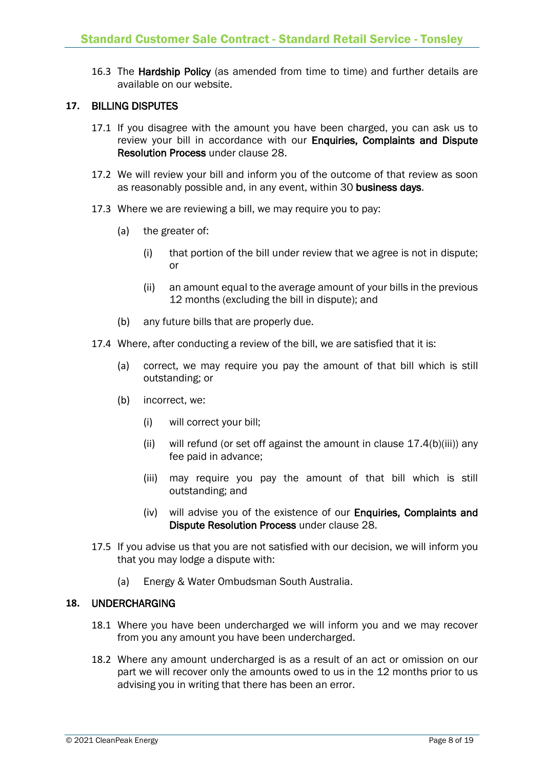16.3 The Hardship Policy (as amended from time to time) and further details are available on our website.

#### **17.** BILLING DISPUTES

- 17.1 If you disagree with the amount you have been charged, you can ask us to review your bill in accordance with our Enquiries, Complaints and Dispute Resolution Process under clause 28.
- 17.2 We will review your bill and inform you of the outcome of that review as soon as reasonably possible and, in any event, within 30 business days.
- 17.3 Where we are reviewing a bill, we may require you to pay:
	- (a) the greater of:
		- (i) that portion of the bill under review that we agree is not in dispute; or
		- (ii) an amount equal to the average amount of your bills in the previous 12 months (excluding the bill in dispute); and
	- (b) any future bills that are properly due.
- 17.4 Where, after conducting a review of the bill, we are satisfied that it is:
	- (a) correct, we may require you pay the amount of that bill which is still outstanding; or
	- (b) incorrect, we:
		- (i) will correct your bill;
		- (ii) will refund (or set off against the amount in clause  $17.4(b)(iii)$  any fee paid in advance;
		- (iii) may require you pay the amount of that bill which is still outstanding; and
		- (iv) will advise you of the existence of our Enquiries, Complaints and Dispute Resolution Process under clause 28.
- 17.5 If you advise us that you are not satisfied with our decision, we will inform you that you may lodge a dispute with:
	- (a) Energy & Water Ombudsman South Australia.

#### **18.** UNDERCHARGING

- 18.1 Where you have been undercharged we will inform you and we may recover from you any amount you have been undercharged.
- 18.2 Where any amount undercharged is as a result of an act or omission on our part we will recover only the amounts owed to us in the 12 months prior to us advising you in writing that there has been an error.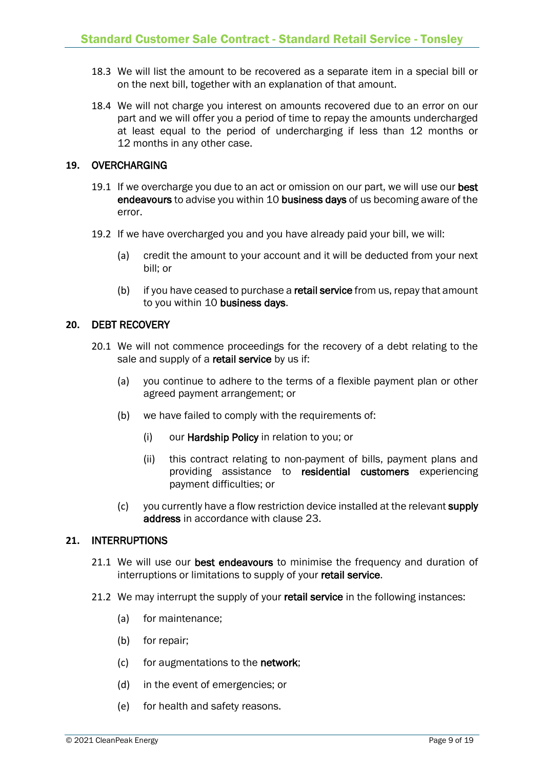- 18.3 We will list the amount to be recovered as a separate item in a special bill or on the next bill, together with an explanation of that amount.
- 18.4 We will not charge you interest on amounts recovered due to an error on our part and we will offer you a period of time to repay the amounts undercharged at least equal to the period of undercharging if less than 12 months or 12 months in any other case.

#### **19.** OVERCHARGING

- 19.1 If we overcharge you due to an act or omission on our part, we will use our best endeavours to advise you within 10 business days of us becoming aware of the error.
- 19.2 If we have overcharged you and you have already paid your bill, we will:
	- (a) credit the amount to your account and it will be deducted from your next bill; or
	- (b) if you have ceased to purchase a retail service from us, repay that amount to you within 10 business days.

#### **20.** DEBT RECOVERY

- 20.1 We will not commence proceedings for the recovery of a debt relating to the sale and supply of a retail service by us if:
	- (a) you continue to adhere to the terms of a flexible payment plan or other agreed payment arrangement; or
	- (b) we have failed to comply with the requirements of:
		- (i) our Hardship Policy in relation to you; or
		- (ii) this contract relating to non-payment of bills, payment plans and providing assistance to residential customers experiencing payment difficulties; or
	- (c) you currently have a flow restriction device installed at the relevant supply address in accordance with clause 23.

#### **21.** INTERRUPTIONS

- 21.1 We will use our best endeavours to minimise the frequency and duration of interruptions or limitations to supply of your retail service.
- 21.2 We may interrupt the supply of your retail service in the following instances:
	- (a) for maintenance;
	- (b) for repair;
	- (c) for augmentations to the network;
	- (d) in the event of emergencies; or
	- (e) for health and safety reasons.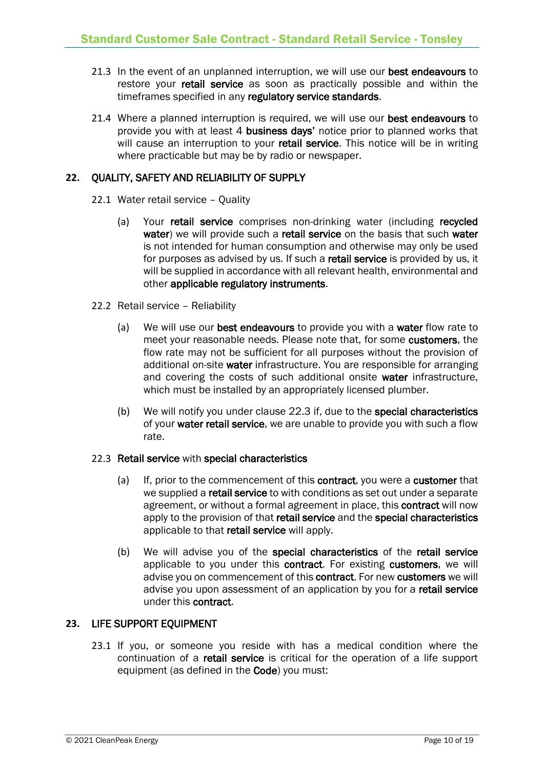- 21.3 In the event of an unplanned interruption, we will use our best endeavours to restore your **retail service** as soon as practically possible and within the timeframes specified in any regulatory service standards.
- 21.4 Where a planned interruption is required, we will use our best endeavours to provide you with at least 4 business days' notice prior to planned works that will cause an interruption to your retail service. This notice will be in writing where practicable but may be by radio or newspaper.

#### **22.** QUALITY, SAFETY AND RELIABILITY OF SUPPLY

- 22.1 Water retail service Quality
	- (a) Your retail service comprises non-drinking water (including recycled water) we will provide such a retail service on the basis that such water is not intended for human consumption and otherwise may only be used for purposes as advised by us. If such a retail service is provided by us, it will be supplied in accordance with all relevant health, environmental and other applicable regulatory instruments.
- 22.2 Retail service Reliability
	- (a) We will use our best endeavours to provide you with a water flow rate to meet your reasonable needs. Please note that, for some customers, the flow rate may not be sufficient for all purposes without the provision of additional on-site water infrastructure. You are responsible for arranging and covering the costs of such additional onsite water infrastructure, which must be installed by an appropriately licensed plumber.
	- (b) We will notify you under clause 22.3 if, due to the special characteristics of your water retail service, we are unable to provide you with such a flow rate.

#### 22.3 Retail service with special characteristics

- (a) If, prior to the commencement of this contract, you were a customer that we supplied a **retail service** to with conditions as set out under a separate agreement, or without a formal agreement in place, this contract will now apply to the provision of that retail service and the special characteristics applicable to that retail service will apply.
- (b) We will advise you of the special characteristics of the retail service applicable to you under this contract. For existing customers, we will advise you on commencement of this contract. For new customers we will advise you upon assessment of an application by you for a retail service under this contract.

#### **23.** LIFE SUPPORT EQUIPMENT

23.1 If you, or someone you reside with has a medical condition where the continuation of a retail service is critical for the operation of a life support equipment (as defined in the Code) you must: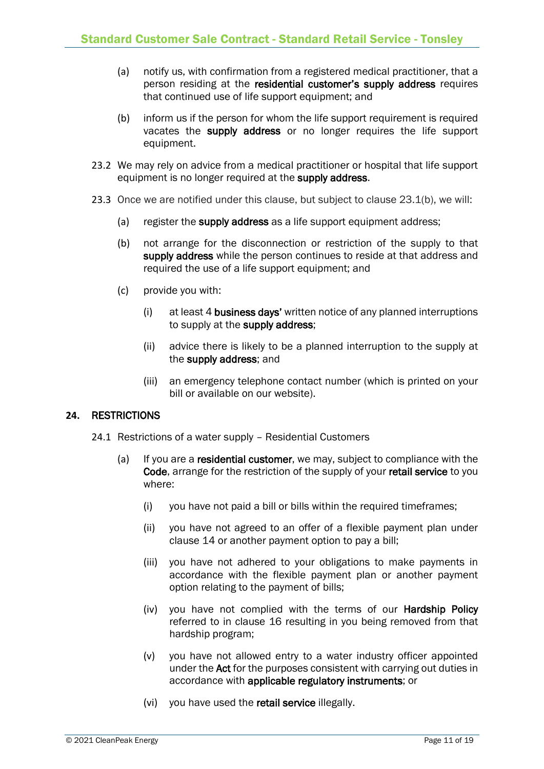- (a) notify us, with confirmation from a registered medical practitioner, that a person residing at the residential customer's supply address requires that continued use of life support equipment; and
- (b) inform us if the person for whom the life support requirement is required vacates the supply address or no longer requires the life support equipment.
- 23.2 We may rely on advice from a medical practitioner or hospital that life support equipment is no longer required at the supply address.
- 23.3 Once we are notified under this clause, but subject to clause 23.1(b), we will:
	- (a) register the supply address as a life support equipment address;
	- (b) not arrange for the disconnection or restriction of the supply to that supply address while the person continues to reside at that address and required the use of a life support equipment; and
	- (c) provide you with:
		- (i) at least 4 business days' written notice of any planned interruptions to supply at the supply address;
		- (ii) advice there is likely to be a planned interruption to the supply at the supply address; and
		- (iii) an emergency telephone contact number (which is printed on your bill or available on our website).

#### **24.** RESTRICTIONS

- 24.1 Restrictions of a water supply Residential Customers
	- (a) If you are a residential customer, we may, subject to compliance with the Code, arrange for the restriction of the supply of your retail service to you where:
		- (i) you have not paid a bill or bills within the required timeframes;
		- (ii) you have not agreed to an offer of a flexible payment plan under clause 14 or another payment option to pay a bill;
		- (iii) you have not adhered to your obligations to make payments in accordance with the flexible payment plan or another payment option relating to the payment of bills;
		- (iv) you have not complied with the terms of our Hardship Policy referred to in clause 16 resulting in you being removed from that hardship program;
		- (v) you have not allowed entry to a water industry officer appointed under the Act for the purposes consistent with carrying out duties in accordance with applicable regulatory instruments; or
		- (vi) you have used the retail service illegally.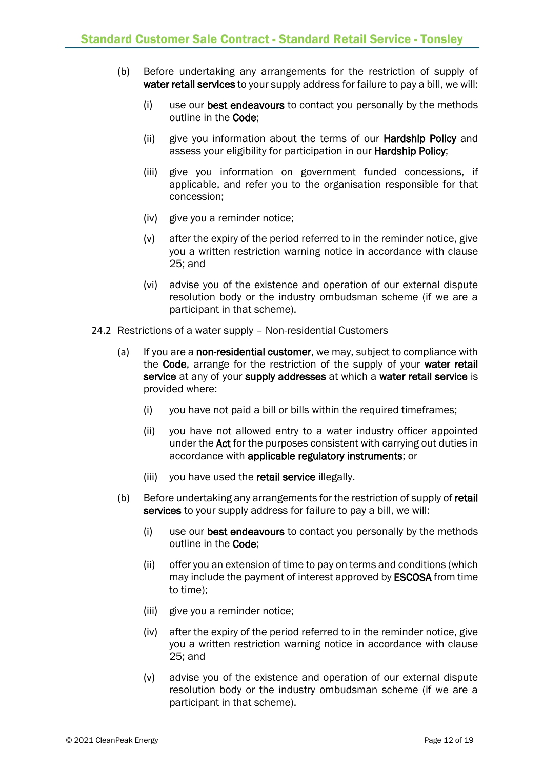- (b) Before undertaking any arrangements for the restriction of supply of water retail services to your supply address for failure to pay a bill, we will:
	- (i) use our best endeavours to contact you personally by the methods outline in the Code;
	- (ii) give you information about the terms of our Hardship Policy and assess your eligibility for participation in our Hardship Policy;
	- (iii) give you information on government funded concessions, if applicable, and refer you to the organisation responsible for that concession;
	- (iv) give you a reminder notice;
	- (v) after the expiry of the period referred to in the reminder notice, give you a written restriction warning notice in accordance with clause 25; and
	- (vi) advise you of the existence and operation of our external dispute resolution body or the industry ombudsman scheme (if we are a participant in that scheme).
- 24.2 Restrictions of a water supply Non-residential Customers
	- (a) If you are a non-residential customer, we may, subject to compliance with the Code, arrange for the restriction of the supply of your water retail service at any of your supply addresses at which a water retail service is provided where:
		- (i) you have not paid a bill or bills within the required timeframes;
		- (ii) you have not allowed entry to a water industry officer appointed under the Act for the purposes consistent with carrying out duties in accordance with applicable regulatory instruments; or
		- (iii) you have used the retail service illegally.
	- (b) Before undertaking any arrangements for the restriction of supply of retail services to your supply address for failure to pay a bill, we will:
		- (i) use our best endeavours to contact you personally by the methods outline in the Code;
		- (ii) offer you an extension of time to pay on terms and conditions (which may include the payment of interest approved by ESCOSA from time to time);
		- (iii) give you a reminder notice;
		- (iv) after the expiry of the period referred to in the reminder notice, give you a written restriction warning notice in accordance with clause 25; and
		- (v) advise you of the existence and operation of our external dispute resolution body or the industry ombudsman scheme (if we are a participant in that scheme).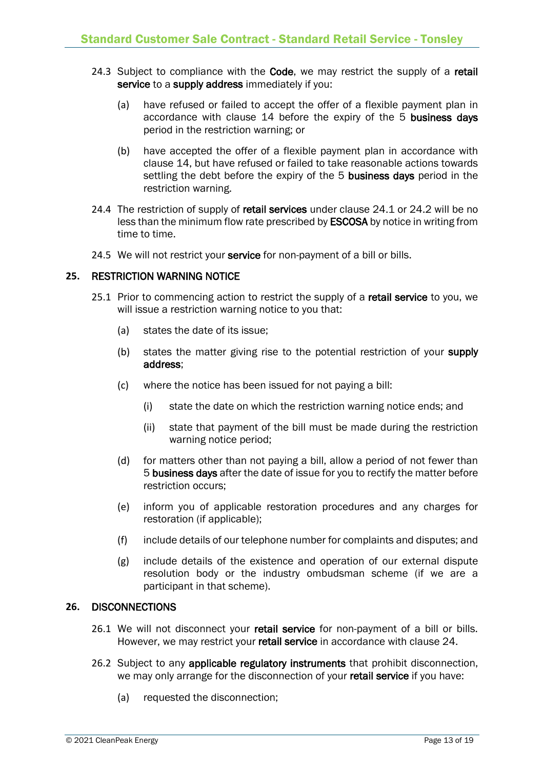- 24.3 Subject to compliance with the Code, we may restrict the supply of a retail service to a supply address immediately if you:
	- (a) have refused or failed to accept the offer of a flexible payment plan in accordance with clause 14 before the expiry of the 5 business days period in the restriction warning; or
	- (b) have accepted the offer of a flexible payment plan in accordance with clause 14, but have refused or failed to take reasonable actions towards settling the debt before the expiry of the 5 business days period in the restriction warning.
- 24.4 The restriction of supply of retail services under clause 24.1 or 24.2 will be no less than the minimum flow rate prescribed by ESCOSA by notice in writing from time to time.
- 24.5 We will not restrict your service for non-payment of a bill or bills.

#### **25.** RESTRICTION WARNING NOTICE

- 25.1 Prior to commencing action to restrict the supply of a retail service to you, we will issue a restriction warning notice to you that:
	- (a) states the date of its issue;
	- (b) states the matter giving rise to the potential restriction of your supply address;
	- (c) where the notice has been issued for not paying a bill:
		- (i) state the date on which the restriction warning notice ends; and
		- (ii) state that payment of the bill must be made during the restriction warning notice period;
	- (d) for matters other than not paying a bill, allow a period of not fewer than 5 business days after the date of issue for you to rectify the matter before restriction occurs;
	- (e) inform you of applicable restoration procedures and any charges for restoration (if applicable);
	- (f) include details of our telephone number for complaints and disputes; and
	- (g) include details of the existence and operation of our external dispute resolution body or the industry ombudsman scheme (if we are a participant in that scheme).

#### **26.** DISCONNECTIONS

- 26.1 We will not disconnect your retail service for non-payment of a bill or bills. However, we may restrict your retail service in accordance with clause 24.
- 26.2 Subject to any applicable regulatory instruments that prohibit disconnection, we may only arrange for the disconnection of your retail service if you have:
	- (a) requested the disconnection;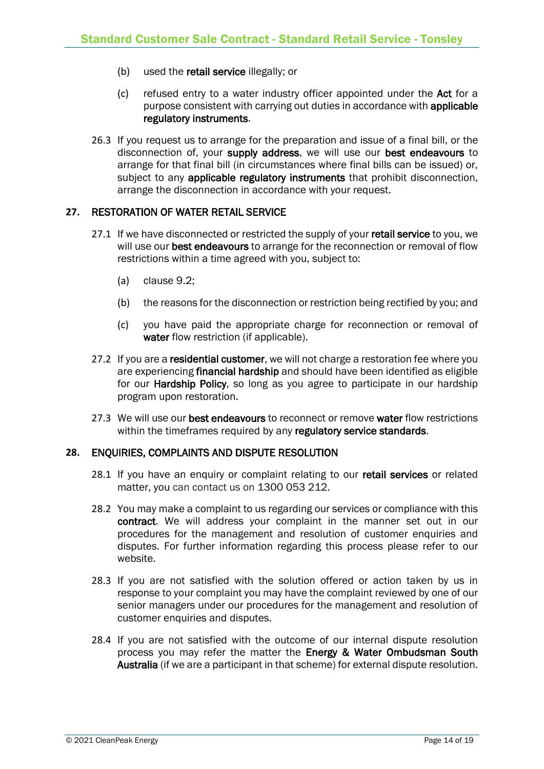- (b) used the retail service illegally; or
- (c) refused entry to a water industry officer appointed under the Act for a purpose consistent with carrying out duties in accordance with applicable regulatory instruments.
- 26.3 If you request us to arrange for the preparation and issue of a final bill, or the disconnection of, your supply address, we will use our best endeavours to arrange for that final bill (in circumstances where final bills can be issued) or, subject to any applicable regulatory instruments that prohibit disconnection, arrange the disconnection in accordance with your request.

#### **27.** RESTORATION OF WATER RETAIL SERVICE

- 27.1 If we have disconnected or restricted the supply of your retail service to you, we will use our best endeavours to arrange for the reconnection or removal of flow restrictions within a time agreed with you, subject to:
	- (a) clause 9.2;
	- (b) the reasons for the disconnection or restriction being rectified by you; and
	- (c) you have paid the appropriate charge for reconnection or removal of water flow restriction (if applicable).
- 27.2 If you are a residential customer, we will not charge a restoration fee where you are experiencing financial hardship and should have been identified as eligible for our Hardship Policy, so long as you agree to participate in our hardship program upon restoration.
- 27.3 We will use our best endeavours to reconnect or remove water flow restrictions within the timeframes required by any regulatory service standards.

#### **28.** ENQUIRIES, COMPLAINTS AND DISPUTE RESOLUTION

- 28.1 If you have an enquiry or complaint relating to our retail services or related matter, you can contact us on 1300 053 212.
- 28.2 You may make a complaint to us regarding our services or compliance with this contract. We will address your complaint in the manner set out in our procedures for the management and resolution of customer enquiries and disputes. For further information regarding this process please refer to our website.
- 28.3 If you are not satisfied with the solution offered or action taken by us in response to your complaint you may have the complaint reviewed by one of our senior managers under our procedures for the management and resolution of customer enquiries and disputes.
- 28.4 If you are not satisfied with the outcome of our internal dispute resolution process you may refer the matter the Energy & Water Ombudsman South Australia (if we are a participant in that scheme) for external dispute resolution.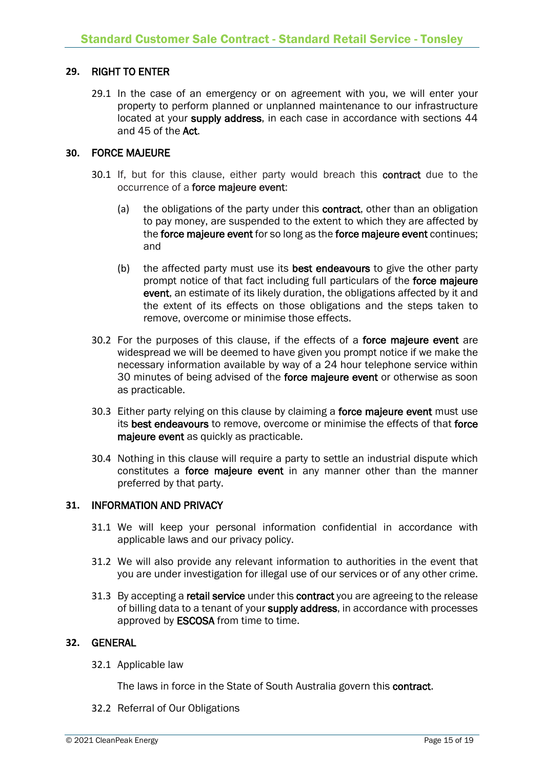#### **29.** RIGHT TO ENTER

29.1 In the case of an emergency or on agreement with you, we will enter your property to perform planned or unplanned maintenance to our infrastructure located at your supply address, in each case in accordance with sections 44 and 45 of the Act.

#### **30.** FORCE MAJEURE

- 30.1 If, but for this clause, either party would breach this contract due to the occurrence of a force majeure event:
	- (a) the obligations of the party under this contract, other than an obligation to pay money, are suspended to the extent to which they are affected by the force majeure event for so long as the force majeure event continues; and
	- (b) the affected party must use its best endeavours to give the other party prompt notice of that fact including full particulars of the force majeure event, an estimate of its likely duration, the obligations affected by it and the extent of its effects on those obligations and the steps taken to remove, overcome or minimise those effects.
- 30.2 For the purposes of this clause, if the effects of a force majeure event are widespread we will be deemed to have given you prompt notice if we make the necessary information available by way of a 24 hour telephone service within 30 minutes of being advised of the force majeure event or otherwise as soon as practicable.
- 30.3 Either party relying on this clause by claiming a force majeure event must use its best endeavours to remove, overcome or minimise the effects of that force majeure event as quickly as practicable.
- 30.4 Nothing in this clause will require a party to settle an industrial dispute which constitutes a force majeure event in any manner other than the manner preferred by that party.

#### **31.** INFORMATION AND PRIVACY

- 31.1 We will keep your personal information confidential in accordance with applicable laws and our privacy policy.
- 31.2 We will also provide any relevant information to authorities in the event that you are under investigation for illegal use of our services or of any other crime.
- 31.3 By accepting a retail service under this contract you are agreeing to the release of billing data to a tenant of your supply address, in accordance with processes approved by ESCOSA from time to time.

#### **32.** GENERAL

32.1 Applicable law

The laws in force in the State of South Australia govern this contract.

32.2 Referral of Our Obligations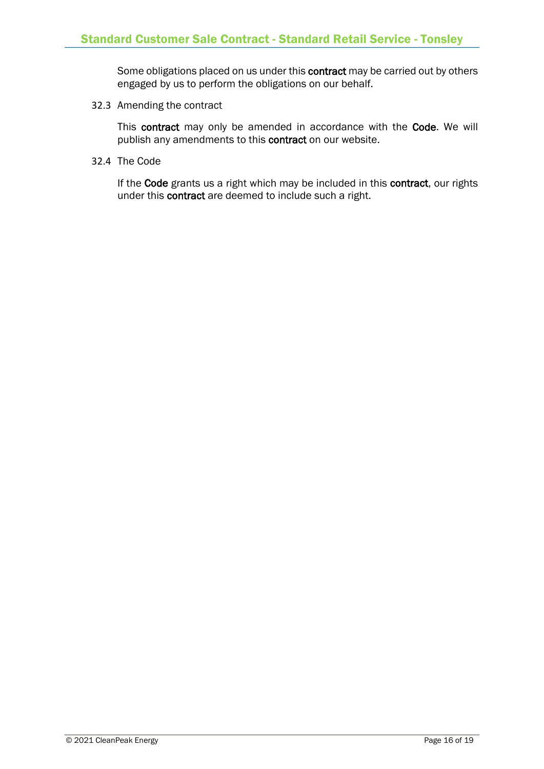Some obligations placed on us under this contract may be carried out by others engaged by us to perform the obligations on our behalf.

32.3 Amending the contract

This contract may only be amended in accordance with the Code. We will publish any amendments to this contract on our website.

32.4 The Code

If the Code grants us a right which may be included in this contract, our rights under this contract are deemed to include such a right.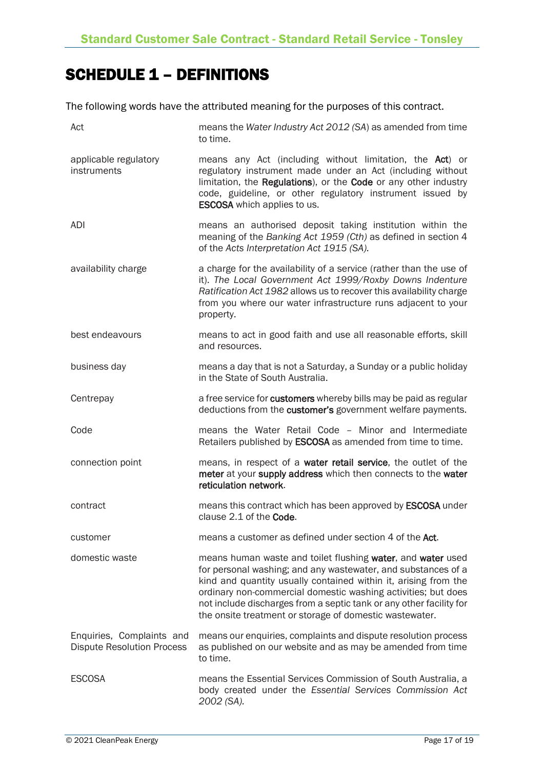# SCHEDULE 1 – DEFINITIONS

The following words have the attributed meaning for the purposes of this contract.

| Act                                                            | means the Water Industry Act 2012 (SA) as amended from time<br>to time.                                                                                                                                                                                                                                                                                                                            |
|----------------------------------------------------------------|----------------------------------------------------------------------------------------------------------------------------------------------------------------------------------------------------------------------------------------------------------------------------------------------------------------------------------------------------------------------------------------------------|
| applicable regulatory<br>instruments                           | means any Act (including without limitation, the Act) or<br>regulatory instrument made under an Act (including without<br>limitation, the Regulations), or the Code or any other industry<br>code, guideline, or other regulatory instrument issued by<br><b>ESCOSA</b> which applies to us.                                                                                                       |
| ADI                                                            | means an authorised deposit taking institution within the<br>meaning of the Banking Act 1959 (Cth) as defined in section 4<br>of the Acts Interpretation Act 1915 (SA).                                                                                                                                                                                                                            |
| availability charge                                            | a charge for the availability of a service (rather than the use of<br>it). The Local Government Act 1999/Roxby Downs Indenture<br>Ratification Act 1982 allows us to recover this availability charge<br>from you where our water infrastructure runs adjacent to your<br>property.                                                                                                                |
| best endeavours                                                | means to act in good faith and use all reasonable efforts, skill<br>and resources.                                                                                                                                                                                                                                                                                                                 |
| business day                                                   | means a day that is not a Saturday, a Sunday or a public holiday<br>in the State of South Australia.                                                                                                                                                                                                                                                                                               |
| Centrepay                                                      | a free service for customers whereby bills may be paid as regular<br>deductions from the customer's government welfare payments.                                                                                                                                                                                                                                                                   |
| Code                                                           | means the Water Retail Code - Minor and Intermediate<br>Retailers published by <b>ESCOSA</b> as amended from time to time.                                                                                                                                                                                                                                                                         |
| connection point                                               | means, in respect of a water retail service, the outlet of the<br>meter at your supply address which then connects to the water<br>reticulation network.                                                                                                                                                                                                                                           |
| contract                                                       | means this contract which has been approved by <b>ESCOSA</b> under<br>clause 2.1 of the Code.                                                                                                                                                                                                                                                                                                      |
| customer                                                       | means a customer as defined under section 4 of the Act.                                                                                                                                                                                                                                                                                                                                            |
| domestic waste                                                 | means human waste and toilet flushing water, and water used<br>for personal washing; and any wastewater, and substances of a<br>kind and quantity usually contained within it, arising from the<br>ordinary non-commercial domestic washing activities; but does<br>not include discharges from a septic tank or any other facility for<br>the onsite treatment or storage of domestic wastewater. |
| Enquiries, Complaints and<br><b>Dispute Resolution Process</b> | means our enquiries, complaints and dispute resolution process<br>as published on our website and as may be amended from time<br>to time.                                                                                                                                                                                                                                                          |
| <b>ESCOSA</b>                                                  | means the Essential Services Commission of South Australia, a<br>body created under the Essential Services Commission Act<br>2002 (SA).                                                                                                                                                                                                                                                            |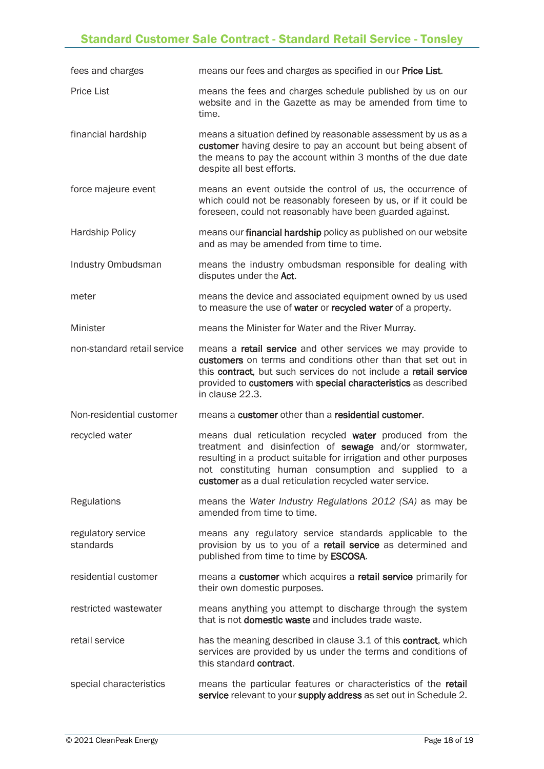### Standard Customer Sale Contract - Standard Retail Service - Tonsley

| fees and charges                | means our fees and charges as specified in our Price List.                                                                                                                                                                                                                                                  |
|---------------------------------|-------------------------------------------------------------------------------------------------------------------------------------------------------------------------------------------------------------------------------------------------------------------------------------------------------------|
| <b>Price List</b>               | means the fees and charges schedule published by us on our<br>website and in the Gazette as may be amended from time to<br>time.                                                                                                                                                                            |
| financial hardship              | means a situation defined by reasonable assessment by us as a<br>customer having desire to pay an account but being absent of<br>the means to pay the account within 3 months of the due date<br>despite all best efforts.                                                                                  |
| force majeure event             | means an event outside the control of us, the occurrence of<br>which could not be reasonably foreseen by us, or if it could be<br>foreseen, could not reasonably have been guarded against.                                                                                                                 |
| <b>Hardship Policy</b>          | means our financial hardship policy as published on our website<br>and as may be amended from time to time.                                                                                                                                                                                                 |
| Industry Ombudsman              | means the industry ombudsman responsible for dealing with<br>disputes under the Act.                                                                                                                                                                                                                        |
| meter                           | means the device and associated equipment owned by us used<br>to measure the use of water or recycled water of a property.                                                                                                                                                                                  |
| Minister                        | means the Minister for Water and the River Murray.                                                                                                                                                                                                                                                          |
| non-standard retail service     | means a <b>retail service</b> and other services we may provide to<br>customers on terms and conditions other than that set out in<br>this contract, but such services do not include a retail service<br>provided to customers with special characteristics as described<br>in clause 22.3.                |
| Non-residential customer        | means a customer other than a residential customer.                                                                                                                                                                                                                                                         |
| recycled water                  | means dual reticulation recycled water produced from the<br>treatment and disinfection of sewage and/or stormwater,<br>resulting in a product suitable for irrigation and other purposes<br>not constituting human consumption and supplied to a<br>customer as a dual reticulation recycled water service. |
| Regulations                     | means the Water Industry Regulations 2012 (SA) as may be<br>amended from time to time.                                                                                                                                                                                                                      |
| regulatory service<br>standards | means any regulatory service standards applicable to the<br>provision by us to you of a retail service as determined and<br>published from time to time by ESCOSA.                                                                                                                                          |
| residential customer            | means a customer which acquires a retail service primarily for<br>their own domestic purposes.                                                                                                                                                                                                              |
| restricted wastewater           | means anything you attempt to discharge through the system<br>that is not <b>domestic waste</b> and includes trade waste.                                                                                                                                                                                   |
| retail service                  | has the meaning described in clause 3.1 of this contract, which<br>services are provided by us under the terms and conditions of<br>this standard contract.                                                                                                                                                 |
| special characteristics         | means the particular features or characteristics of the retail<br>service relevant to your supply address as set out in Schedule 2.                                                                                                                                                                         |